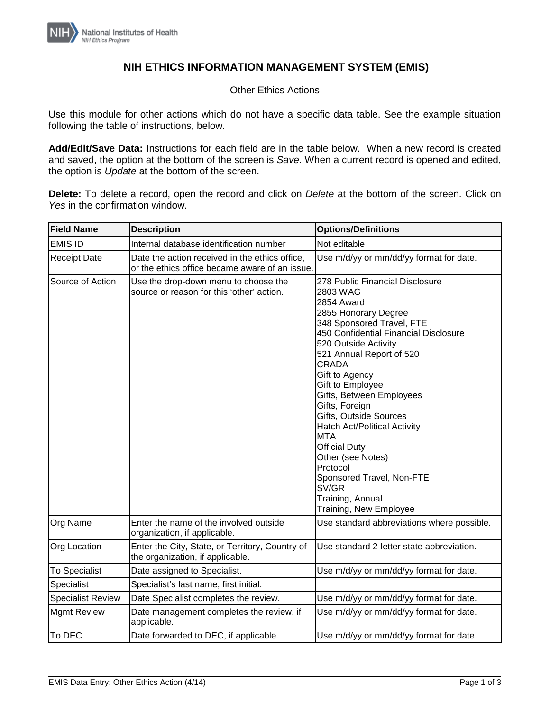

## **NIH ETHICS INFORMATION MANAGEMENT SYSTEM (EMIS)**

## Other Ethics Actions

Use this module for other actions which do not have a specific data table. See the example situation following the table of instructions, below.

**Add/Edit/Save Data:** Instructions for each field are in the table below. When a new record is created and saved, the option at the bottom of the screen is *Save.* When a current record is opened and edited, the option is *Update* at the bottom of the screen.

**Delete:** To delete a record, open the record and click on *Delete* at the bottom of the screen. Click on *Yes* in the confirmation window.

| <b>Field Name</b>        | <b>Description</b>                                                                               | <b>Options/Definitions</b>                                                                                                                                                                                                                                                                                                                                                                                                                                                                                                                  |
|--------------------------|--------------------------------------------------------------------------------------------------|---------------------------------------------------------------------------------------------------------------------------------------------------------------------------------------------------------------------------------------------------------------------------------------------------------------------------------------------------------------------------------------------------------------------------------------------------------------------------------------------------------------------------------------------|
| <b>EMIS ID</b>           | Internal database identification number                                                          | Not editable                                                                                                                                                                                                                                                                                                                                                                                                                                                                                                                                |
| <b>Receipt Date</b>      | Date the action received in the ethics office,<br>or the ethics office became aware of an issue. | Use m/d/yy or mm/dd/yy format for date.                                                                                                                                                                                                                                                                                                                                                                                                                                                                                                     |
| Source of Action         | Use the drop-down menu to choose the<br>source or reason for this 'other' action.                | 278 Public Financial Disclosure<br>2803 WAG<br>2854 Award<br>2855 Honorary Degree<br>348 Sponsored Travel, FTE<br>450 Confidential Financial Disclosure<br>520 Outside Activity<br>521 Annual Report of 520<br><b>CRADA</b><br>Gift to Agency<br>Gift to Employee<br>Gifts, Between Employees<br>Gifts, Foreign<br>Gifts, Outside Sources<br><b>Hatch Act/Political Activity</b><br><b>MTA</b><br><b>Official Duty</b><br>Other (see Notes)<br>Protocol<br>Sponsored Travel, Non-FTE<br>SV/GR<br>Training, Annual<br>Training, New Employee |
| Org Name                 | Enter the name of the involved outside<br>organization, if applicable.                           | Use standard abbreviations where possible.                                                                                                                                                                                                                                                                                                                                                                                                                                                                                                  |
| <b>Org Location</b>      | Enter the City, State, or Territory, Country of<br>the organization, if applicable.              | Use standard 2-letter state abbreviation.                                                                                                                                                                                                                                                                                                                                                                                                                                                                                                   |
| <b>To Specialist</b>     | Date assigned to Specialist.                                                                     | Use m/d/yy or mm/dd/yy format for date.                                                                                                                                                                                                                                                                                                                                                                                                                                                                                                     |
| Specialist               | Specialist's last name, first initial.                                                           |                                                                                                                                                                                                                                                                                                                                                                                                                                                                                                                                             |
| <b>Specialist Review</b> | Date Specialist completes the review.                                                            | Use m/d/yy or mm/dd/yy format for date.                                                                                                                                                                                                                                                                                                                                                                                                                                                                                                     |
| <b>Mgmt Review</b>       | Date management completes the review, if<br>applicable.                                          | Use m/d/yy or mm/dd/yy format for date.                                                                                                                                                                                                                                                                                                                                                                                                                                                                                                     |
| To DEC                   | Date forwarded to DEC, if applicable.                                                            | Use m/d/yy or mm/dd/yy format for date.                                                                                                                                                                                                                                                                                                                                                                                                                                                                                                     |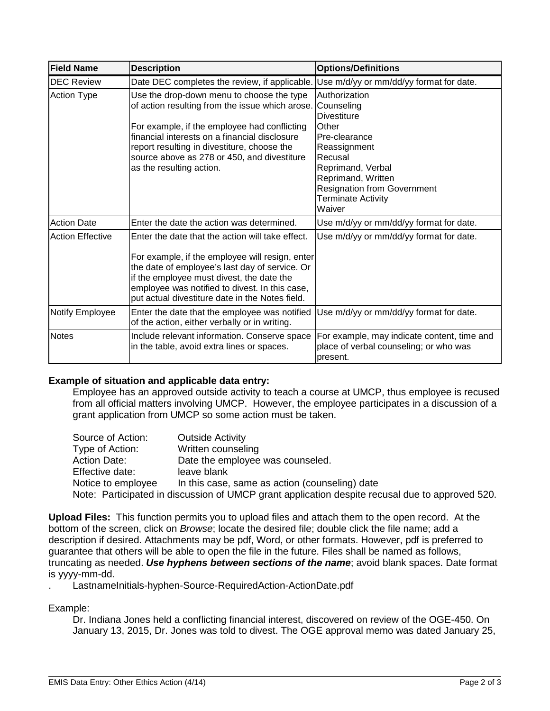| <b>Field Name</b>       | <b>Description</b>                                                                                                                                                                                                                                                                                                      | <b>Options/Definitions</b>                                                                                                                                                                                                     |
|-------------------------|-------------------------------------------------------------------------------------------------------------------------------------------------------------------------------------------------------------------------------------------------------------------------------------------------------------------------|--------------------------------------------------------------------------------------------------------------------------------------------------------------------------------------------------------------------------------|
| <b>DEC Review</b>       | Date DEC completes the review, if applicable.                                                                                                                                                                                                                                                                           | Use m/d/yy or mm/dd/yy format for date.                                                                                                                                                                                        |
| <b>Action Type</b>      | Use the drop-down menu to choose the type<br>of action resulting from the issue which arose.<br>For example, if the employee had conflicting<br>financial interests on a financial disclosure<br>report resulting in divestiture, choose the<br>source above as 278 or 450, and divestiture<br>as the resulting action. | Authorization<br>Counseling<br><b>Divestiture</b><br>Other<br>Pre-clearance<br>Reassignment<br>Recusal<br>Reprimand, Verbal<br>Reprimand, Written<br><b>Resignation from Government</b><br><b>Terminate Activity</b><br>Waiver |
| <b>Action Date</b>      | Enter the date the action was determined.                                                                                                                                                                                                                                                                               | Use m/d/yy or mm/dd/yy format for date.                                                                                                                                                                                        |
| <b>Action Effective</b> | Enter the date that the action will take effect.<br>For example, if the employee will resign, enter<br>the date of employee's last day of service. Or<br>if the employee must divest, the date the<br>employee was notified to divest. In this case,<br>put actual divestiture date in the Notes field.                 | Use m/d/yy or mm/dd/yy format for date.                                                                                                                                                                                        |
| Notify Employee         | Enter the date that the employee was notified<br>of the action, either verbally or in writing.                                                                                                                                                                                                                          | Use m/d/yy or mm/dd/yy format for date.                                                                                                                                                                                        |
| <b>Notes</b>            | Include relevant information. Conserve space<br>in the table, avoid extra lines or spaces.                                                                                                                                                                                                                              | For example, may indicate content, time and<br>place of verbal counseling; or who was<br>present.                                                                                                                              |

## **Example of situation and applicable data entry:**

Employee has an approved outside activity to teach a course at UMCP, thus employee is recused from all official matters involving UMCP. However, the employee participates in a discussion of a grant application from UMCP so some action must be taken.

| Source of Action:  | <b>Outside Activity</b>                                                                         |
|--------------------|-------------------------------------------------------------------------------------------------|
| Type of Action:    | Written counseling                                                                              |
| Action Date:       | Date the employee was counseled.                                                                |
| Effective date:    | leave blank                                                                                     |
| Notice to employee | In this case, same as action (counseling) date                                                  |
|                    | Note: Participated in discussion of UMCP grant application despite recusal due to approved 520. |

**Upload Files:** This function permits you to upload files and attach them to the open record. At the bottom of the screen, click on *Browse*; locate the desired file; double click the file name; add a description if desired. Attachments may be pdf, Word, or other formats. However, pdf is preferred to guarantee that others will be able to open the file in the future. Files shall be named as follows, truncating as needed. *Use hyphens between sections of the name*; avoid blank spaces. Date format is yyyy-mm-dd.

. LastnameInitials-hyphen-Source-RequiredAction-ActionDate.pdf

Example:

Dr. Indiana Jones held a conflicting financial interest, discovered on review of the OGE-450. On January 13, 2015, Dr. Jones was told to divest. The OGE approval memo was dated January 25,